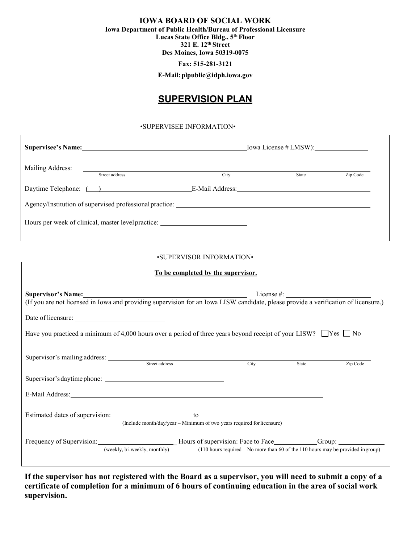**IOWA BOARD OF SOCIAL WORK Iowa Department of Public Health/Bureau of Professional Licensure Lucas State Office Bldg., 5th Floor 321 E. 12th Street Des Moines, Iowa 50319-0075**

**Fax: 515-281-3121**

**E-Mail[:plpublic@idph.iowa.gov](mailto:plpublic@idph.iowa.gov)**

# **SUPERVISION PLAN**

## •SUPERVISEE INFORMATION•

|                  | Supervisee's Name: 1988 Manner 2008 and 2008 Manner 2008 and 2008 Manner 2008 and 2008 Manner 2008 and 2008 Ma |      | Iowa License # LMSW): |          |
|------------------|----------------------------------------------------------------------------------------------------------------|------|-----------------------|----------|
| Mailing Address: | Street address                                                                                                 | City | State                 | Zip Code |
|                  | Daytime Telephone: ()                                                                                          |      |                       |          |
|                  |                                                                                                                |      |                       |          |
|                  | Hours per week of clinical, master level practice: _____________________________                               |      |                       |          |

## •SUPERVISOR INFORMATION•

#### **To be completed by the supervisor.**

| Supervisor's Name:<br>(If you are not licensed in Iowa and providing supervision for an Iowa LISW candidate, please provide a verification of licensure.)                                       |                                                                        |  |       |          |  |  |  |
|-------------------------------------------------------------------------------------------------------------------------------------------------------------------------------------------------|------------------------------------------------------------------------|--|-------|----------|--|--|--|
|                                                                                                                                                                                                 |                                                                        |  |       |          |  |  |  |
| Have you practiced a minimum of 4,000 hours over a period of three years beyond receipt of your LISW? $\Box$ Yes $\Box$ No                                                                      |                                                                        |  |       |          |  |  |  |
| Supervisor's mailing address:<br>Street address City                                                                                                                                            |                                                                        |  | State | Zip Code |  |  |  |
|                                                                                                                                                                                                 |                                                                        |  |       |          |  |  |  |
|                                                                                                                                                                                                 |                                                                        |  |       |          |  |  |  |
|                                                                                                                                                                                                 | (Include month/day/year – Minimum of two years required for licensure) |  |       |          |  |  |  |
| Frequency of Supervision: <u>(weekly, bi-weekly, monthly)</u> Hours of supervision: Face to Face Group: Group: (110 hours required – No more than 60 of the 110 hours may be provided in group) |                                                                        |  |       |          |  |  |  |

**If the supervisor has not registered with the Board as a supervisor, you will need to submit a copy of a certificate of completion for a minimum of 6 hours of continuing education in the area of social work supervision.**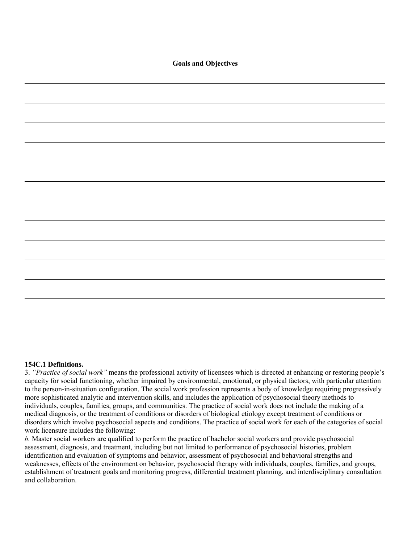#### **154C.1 Definitions.**

3. *"Practice of social work"* means the professional activity of licensees which is directed at enhancing or restoring people's capacity for social functioning, whether impaired by environmental, emotional, or physical factors, with particular attention to the person-in-situation configuration. The social work profession represents a body of knowledge requiring progressively more sophisticated analytic and intervention skills, and includes the application of psychosocial theory methods to individuals, couples, families, groups, and communities. The practice of social work does not include the making of a medical diagnosis, or the treatment of conditions or disorders of biological etiology except treatment of conditions or disorders which involve psychosocial aspects and conditions. The practice of social work for each of the categories of social work licensure includes the following:

*b.* Master social workers are qualified to perform the practice of bachelor social workers and provide psychosocial assessment, diagnosis, and treatment, including but not limited to performance of psychosocial histories, problem identification and evaluation of symptoms and behavior, assessment of psychosocial and behavioral strengths and weaknesses, effects of the environment on behavior, psychosocial therapy with individuals, couples, families, and groups, establishment of treatment goals and monitoring progress, differential treatment planning, and interdisciplinary consultation and collaboration.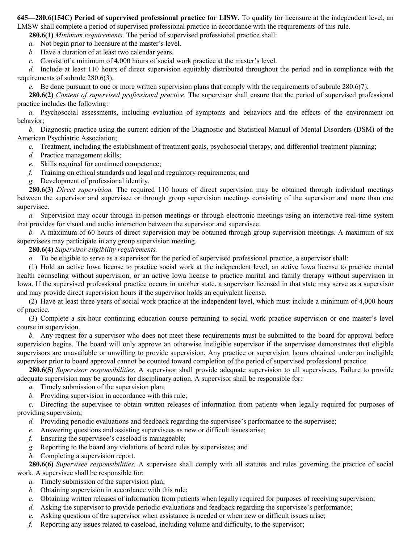**645—280.6(154C) Period of supervised professional practice for LISW.** To qualify for licensure at the independent level, an LMSW shall complete a period of supervised professional practice in accordance with the requirements of this rule.

**280.6(1)** *Minimum requirements.* The period of supervised professional practice shall:

*a.* Not begin prior to licensure at the master's level.

- *b.* Have a duration of at least two calendar years.
- *c.* Consist of a minimum of 4,000 hours of social work practice at the master's level.

*d.* Include at least 110 hours of direct supervision equitably distributed throughout the period and in compliance with the requirements of subrule 280.6(3).

*e.* Be done pursuant to one or more written supervision plans that comply with the requirements of subrule 280.6(7).

**280.6(2)** *Content of supervised professional practice.* The supervisor shall ensure that the period of supervised professional practice includes the following:

*a.* Psychosocial assessments, including evaluation of symptoms and behaviors and the effects of the environment on behavior;

*b.* Diagnostic practice using the current edition of the Diagnostic and Statistical Manual of Mental Disorders (DSM) of the American Psychiatric Association;

- *c.* Treatment, including the establishment of treatment goals, psychosocial therapy, and differential treatment planning;
- *d.* Practice management skills;
- *e.* Skills required for continued competence;
- *f.* Training on ethical standards and legal and regulatory requirements; and
- *g.* Development of professional identity.

**280.6(3)** *Direct supervision.* The required 110 hours of direct supervision may be obtained through individual meetings between the supervisor and supervisee or through group supervision meetings consisting of the supervisor and more than one supervisee.

*a.* Supervision may occur through in-person meetings or through electronic meetings using an interactive real-time system that provides for visual and audio interaction between the supervisor and supervisee.

*b.* A maximum of 60 hours of direct supervision may be obtained through group supervision meetings. A maximum of six supervisees may participate in any group supervision meeting.

**280.6(4)** *Supervisor eligibility requirements.*

*a.* To be eligible to serve as a supervisor for the period of supervised professional practice, a supervisor shall:

(1) Hold an active Iowa license to practice social work at the independent level, an active Iowa license to practice mental health counseling without supervision, or an active Iowa license to practice marital and family therapy without supervision in Iowa. If the supervised professional practice occurs in another state, a supervisor licensed in that state may serve as a supervisor and may provide direct supervision hours if the supervisor holds an equivalent license.

(2) Have at least three years of social work practice at the independent level, which must include a minimum of 4,000 hours of practice.

(3) Complete a six-hour continuing education course pertaining to social work practice supervision or one master's level course in supervision.

*b.* Any request for a supervisor who does not meet these requirements must be submitted to the board for approval before supervision begins. The board will only approve an otherwise ineligible supervisor if the supervisee demonstrates that eligible supervisors are unavailable or unwilling to provide supervision. Any practice or supervision hours obtained under an ineligible supervisor prior to board approval cannot be counted toward completion of the period of supervised professional practice.

**280.6(5)** *Supervisor responsibilities.* A supervisor shall provide adequate supervision to all supervisees. Failure to provide adequate supervision may be grounds for disciplinary action. A supervisor shall be responsible for:

- *a.* Timely submission of the supervision plan;
- *b.* Providing supervision in accordance with this rule;

*c.* Directing the supervisee to obtain written releases of information from patients when legally required for purposes of providing supervision;

- *d.* Providing periodic evaluations and feedback regarding the supervisee's performance to the supervisee;
- *e.* Answering questions and assisting supervisees as new or difficult issues arise;
- *f.* Ensuring the supervisee's caseload is manageable;
- *g.* Reporting to the board any violations of board rules by supervisees; and
- *h.* Completing a supervision report.

**280.6(6)** *Supervisee responsibilities.* A supervisee shall comply with all statutes and rules governing the practice of social work. A supervisee shall be responsible for:

- *a.* Timely submission of the supervision plan;
- *b.* Obtaining supervision in accordance with this rule;
- *c.* Obtaining written releases of information from patients when legally required for purposes of receiving supervision;
- *d.* Asking the supervisor to provide periodic evaluations and feedback regarding the supervisee's performance;
- *e.* Asking questions of the supervisor when assistance is needed or when new or difficult issues arise;
- *f.* Reporting any issues related to caseload, including volume and difficulty, to the supervisor;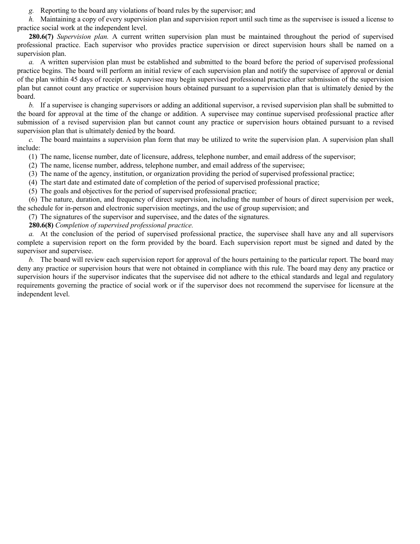*g.* Reporting to the board any violations of board rules by the supervisor; and

*h.* Maintaining a copy of every supervision plan and supervision report until such time as the supervisee is issued a license to practice social work at the independent level.

**280.6(7)** *Supervision plan.* A current written supervision plan must be maintained throughout the period of supervised professional practice. Each supervisor who provides practice supervision or direct supervision hours shall be named on a supervision plan.

*a.* A written supervision plan must be established and submitted to the board before the period of supervised professional practice begins. The board will perform an initial review of each supervision plan and notify the supervisee of approval or denial of the plan within 45 days of receipt. A supervisee may begin supervised professional practice after submission of the supervision plan but cannot count any practice or supervision hours obtained pursuant to a supervision plan that is ultimately denied by the board.

*b.* If a supervisee is changing supervisors or adding an additional supervisor, a revised supervision plan shall be submitted to the board for approval at the time of the change or addition. A supervisee may continue supervised professional practice after submission of a revised supervision plan but cannot count any practice or supervision hours obtained pursuant to a revised supervision plan that is ultimately denied by the board.

*c.* The board maintains a supervision plan form that may be utilized to write the supervision plan. A supervision plan shall include:

(1) The name, license number, date of licensure, address, telephone number, and email address of the supervisor;

(2) The name, license number, address, telephone number, and email address of the supervisee;

(3) The name of the agency, institution, or organization providing the period of supervised professional practice;

(4) The start date and estimated date of completion of the period of supervised professional practice;

(5) The goals and objectives for the period of supervised professional practice;

(6) The nature, duration, and frequency of direct supervision, including the number of hours of direct supervision per week, the schedule for in-person and electronic supervision meetings, and the use of group supervision; and

(7) The signatures of the supervisor and supervisee, and the dates of the signatures.

**280.6(8)** *Completion of supervised professional practice.*

*a.* At the conclusion of the period of supervised professional practice, the supervisee shall have any and all supervisors complete a supervision report on the form provided by the board. Each supervision report must be signed and dated by the supervisor and supervisee.

*b.* The board will review each supervision report for approval of the hours pertaining to the particular report. The board may deny any practice or supervision hours that were not obtained in compliance with this rule. The board may deny any practice or supervision hours if the supervisor indicates that the supervisee did not adhere to the ethical standards and legal and regulatory requirements governing the practice of social work or if the supervisor does not recommend the supervisee for licensure at the independent level.